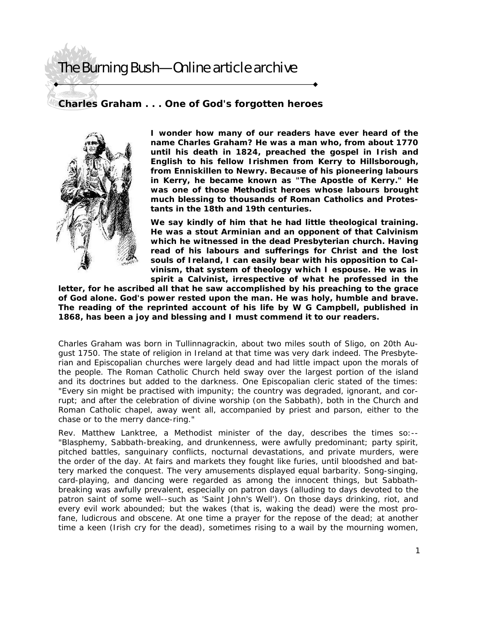## The Burning Bush—Online article archive

## **Charles Graham . . . One of God's forgotten heroes**



**I wonder how many of our readers have ever heard of the name Charles Graham? He was a man who, from about 1770 until his death in 1824, preached the gospel in Irish and English to his fellow Irishmen from Kerry to Hillsborough, from Enniskillen to Newry. Because of his pioneering labours in Kerry, he became known as "The Apostle of Kerry." He was one of those Methodist heroes whose labours brought much blessing to thousands of Roman Catholics and Protestants in the 18th and 19th centuries.** 

**We say kindly of him that he had little theological training. He was a stout Arminian and an opponent of that Calvinism which he witnessed in the dead Presbyterian church. Having read of his labours and sufferings for Christ and the lost souls of Ireland, I can easily bear with his opposition to Calvinism, that system of theology which I espouse. He was in spirit a Calvinist, irrespective of what he professed in the** 

**letter, for he ascribed all that he saw accomplished by his preaching to the grace of God alone. God's power rested upon the man. He was holy, humble and brave. The reading of the reprinted account of his life by W G Campbell, published in 1868, has been a joy and blessing and I must commend it to our readers.** 

Charles Graham was born in Tullinnagrackin, about two miles south of Sligo, on 20th August 1750. The state of religion in Ireland at that time was very dark indeed. The Presbyterian and Episcopalian churches were largely dead and had little impact upon the morals of the people. The Roman Catholic Church held sway over the largest portion of the island and its doctrines but added to the darkness. One Episcopalian cleric stated of the times: "Every sin might be practised with impunity; the country was degraded, ignorant, and corrupt; and after the celebration of divine worship (on the Sabbath), both in the Church and Roman Catholic chapel, away went all, accompanied by priest and parson, either to the chase or to the merry dance-ring."

Rev. Matthew Lanktree, a Methodist minister of the day, describes the times so:-- "Blasphemy, Sabbath-breaking, and drunkenness, were awfully predominant; party spirit, pitched battles, sanguinary conflicts, nocturnal devastations, and private murders, were the order of the day. At fairs and markets they fought like furies, until bloodshed and battery marked the conquest. The very amusements displayed equal barbarity. Song-singing, card-playing, and dancing were regarded as among the innocent things, but Sabbathbreaking was awfully prevalent, especially on patron days (alluding to days devoted to the patron saint of some well--such as 'Saint John's Well'). On those days drinking, riot, and every evil work abounded; but the wakes (that is, waking the dead) were the most profane, ludicrous and obscene. At one time a prayer for the repose of the dead; at another time a keen (Irish cry for the dead), sometimes rising to a wail by the mourning women,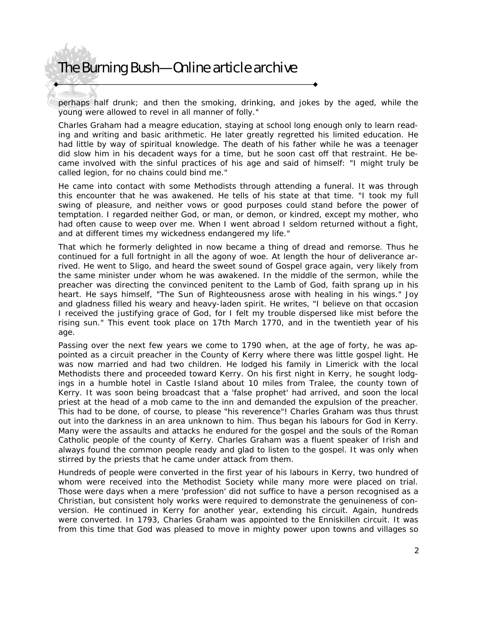## The Burning Bush—Online article archive

perhaps half drunk; and then the smoking, drinking, and jokes by the aged, while the young were allowed to revel in all manner of folly."

Charles Graham had a meagre education, staying at school long enough only to learn reading and writing and basic arithmetic. He later greatly regretted his limited education. He had little by way of spiritual knowledge. The death of his father while he was a teenager did slow him in his decadent ways for a time, but he soon cast off that restraint. He became involved with the sinful practices of his age and said of himself: "I might truly be called legion, for no chains could bind me."

He came into contact with some Methodists through attending a funeral. It was through this encounter that he was awakened. He tells of his state at that time. "I took my full swing of pleasure, and neither vows or good purposes could stand before the power of temptation. I regarded neither God, or man, or demon, or kindred, except my mother, who had often cause to weep over me. When I went abroad I seldom returned without a fight, and at different times my wickedness endangered my life."

That which he formerly delighted in now became a thing of dread and remorse. Thus he continued for a full fortnight in all the agony of woe. At length the hour of deliverance arrived. He went to Sligo, and heard the sweet sound of Gospel grace again, very likely from the same minister under whom he was awakened. In the middle of the sermon, while the preacher was directing the convinced penitent to the Lamb of God, faith sprang up in his heart. He says himself, "The Sun of Righteousness arose with healing in his wings." Joy and gladness filled his weary and heavy-laden spirit. He writes, "I believe on that occasion I received the justifying grace of God, for I felt my trouble dispersed like mist before the rising sun." This event took place on 17th March 1770, and in the twentieth year of his age.

Passing over the next few years we come to 1790 when, at the age of forty, he was appointed as a circuit preacher in the County of Kerry where there was little gospel light. He was now married and had two children. He lodged his family in Limerick with the local Methodists there and proceeded toward Kerry. On his first night in Kerry, he sought lodgings in a humble hotel in Castle Island about 10 miles from Tralee, the county town of Kerry. It was soon being broadcast that a 'false prophet' had arrived, and soon the local priest at the head of a mob came to the inn and demanded the expulsion of the preacher. This had to be done, of course, to please "his reverence"! Charles Graham was thus thrust out into the darkness in an area unknown to him. Thus began his labours for God in Kerry. Many were the assaults and attacks he endured for the gospel and the souls of the Roman Catholic people of the county of Kerry. Charles Graham was a fluent speaker of Irish and always found the common people ready and glad to listen to the gospel. It was only when stirred by the priests that he came under attack from them.

Hundreds of people were converted in the first year of his labours in Kerry, two hundred of whom were received into the Methodist Society while many more were placed on trial. Those were days when a mere 'profession' did not suffice to have a person recognised as a Christian, but consistent holy works were required to demonstrate the genuineness of conversion. He continued in Kerry for another year, extending his circuit. Again, hundreds were converted. In 1793, Charles Graham was appointed to the Enniskillen circuit. It was from this time that God was pleased to move in mighty power upon towns and villages so